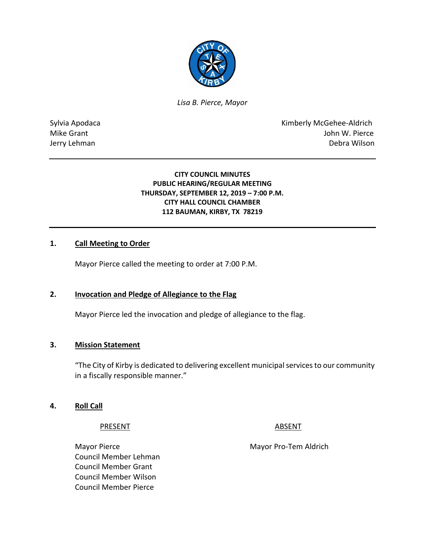

*Lisa B. Pierce, Mayor* 

Sylvia Apodaca **Kimberly McGehee-Aldrich** Mike Grant **Mike Grant** John W. Pierce Jerry Lehman Debra Wilson

### **CITY COUNCIL MINUTES PUBLIC HEARING/REGULAR MEETING THURSDAY, SEPTEMBER 12, 2019 – 7:00 P.M. CITY HALL COUNCIL CHAMBER 112 BAUMAN, KIRBY, TX 78219**

### **1. Call Meeting to Order**

Mayor Pierce called the meeting to order at 7:00 P.M.

### **2. Invocation and Pledge of Allegiance to the Flag**

Mayor Pierce led the invocation and pledge of allegiance to the flag.

### **3. Mission Statement**

"The City of Kirby is dedicated to delivering excellent municipal services to our community in a fiscally responsible manner."

### **4. Roll Call**

#### PRESENT ABSENT

Mayor Pierce Mayor Pro-Tem Aldrich Council Member Lehman Council Member Grant Council Member Wilson Council Member Pierce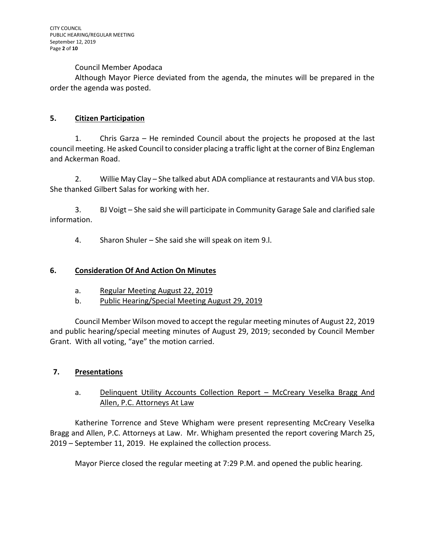### Council Member Apodaca

Although Mayor Pierce deviated from the agenda, the minutes will be prepared in the order the agenda was posted.

# **5. Citizen Participation**

1. Chris Garza – He reminded Council about the projects he proposed at the last council meeting. He asked Council to consider placing a traffic light at the corner of Binz Engleman and Ackerman Road.

2. Willie May Clay – She talked abut ADA compliance at restaurants and VIA bus stop. She thanked Gilbert Salas for working with her.

3. BJ Voigt – She said she will participate in Community Garage Sale and clarified sale information.

4. Sharon Shuler – She said she will speak on item 9.l.

## **6. Consideration Of And Action On Minutes**

- a. Regular Meeting August 22, 2019
- b. Public Hearing/Special Meeting August 29, 2019

Council Member Wilson moved to accept the regular meeting minutes of August 22, 2019 and public hearing/special meeting minutes of August 29, 2019; seconded by Council Member Grant. With all voting, "aye" the motion carried.

# **7. Presentations**

# a. Delinquent Utility Accounts Collection Report - McCreary Veselka Bragg And Allen, P.C. Attorneys At Law

Katherine Torrence and Steve Whigham were present representing McCreary Veselka Bragg and Allen, P.C. Attorneys at Law. Mr. Whigham presented the report covering March 25, 2019 – September 11, 2019. He explained the collection process.

Mayor Pierce closed the regular meeting at 7:29 P.M. and opened the public hearing.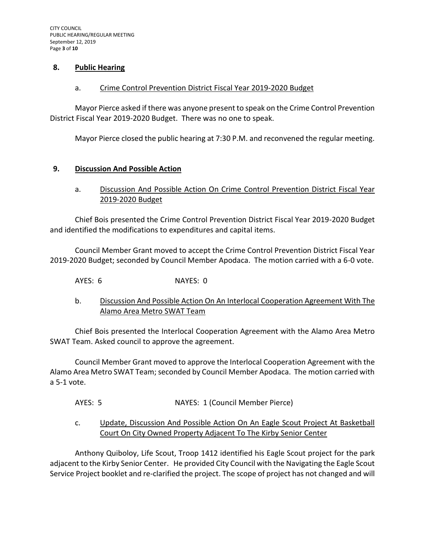#### **8. Public Hearing**

#### a. Crime Control Prevention District Fiscal Year 2019-2020 Budget

Mayor Pierce asked if there was anyone present to speak on the Crime Control Prevention District Fiscal Year 2019-2020 Budget. There was no one to speak.

Mayor Pierce closed the public hearing at 7:30 P.M. and reconvened the regular meeting.

### **9. Discussion And Possible Action**

a. Discussion And Possible Action On Crime Control Prevention District Fiscal Year 2019-2020 Budget

Chief Bois presented the Crime Control Prevention District Fiscal Year 2019-2020 Budget and identified the modifications to expenditures and capital items.

Council Member Grant moved to accept the Crime Control Prevention District Fiscal Year 2019-2020 Budget; seconded by Council Member Apodaca. The motion carried with a 6-0 vote.

AYES: 6 NAYES: 0

b. Discussion And Possible Action On An Interlocal Cooperation Agreement With The Alamo Area Metro SWAT Team

Chief Bois presented the Interlocal Cooperation Agreement with the Alamo Area Metro SWAT Team. Asked council to approve the agreement.

Council Member Grant moved to approve the Interlocal Cooperation Agreement with the Alamo Area Metro SWAT Team; seconded by Council Member Apodaca. The motion carried with a 5-1 vote.

- AYES: 5 NAYES: 1 (Council Member Pierce)
- c. Update, Discussion And Possible Action On An Eagle Scout Project At Basketball Court On City Owned Property Adjacent To The Kirby Senior Center

Anthony Quiboloy, Life Scout, Troop 1412 identified his Eagle Scout project for the park adjacent to the Kirby Senior Center. He provided City Council with the Navigating the Eagle Scout Service Project booklet and re-clarified the project. The scope of project has not changed and will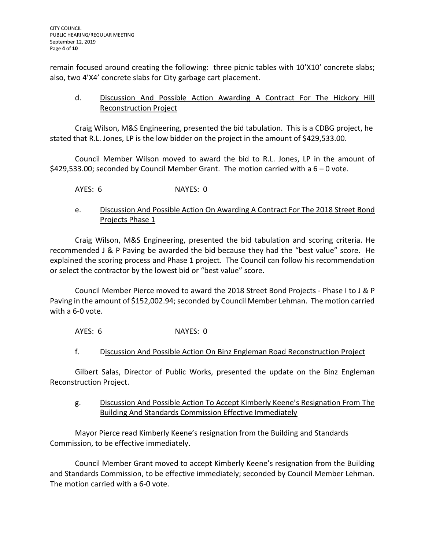remain focused around creating the following: three picnic tables with 10'X10' concrete slabs; also, two 4'X4' concrete slabs for City garbage cart placement.

# d. Discussion And Possible Action Awarding A Contract For The Hickory Hill Reconstruction Project

Craig Wilson, M&S Engineering, presented the bid tabulation. This is a CDBG project, he stated that R.L. Jones, LP is the low bidder on the project in the amount of \$429,533.00.

Council Member Wilson moved to award the bid to R.L. Jones, LP in the amount of \$429,533.00; seconded by Council Member Grant. The motion carried with a 6 – 0 vote.

AYES: 6 NAYES: 0

# e. Discussion And Possible Action On Awarding A Contract For The 2018 Street Bond Projects Phase 1

Craig Wilson, M&S Engineering, presented the bid tabulation and scoring criteria. He recommended J & P Paving be awarded the bid because they had the "best value" score. He explained the scoring process and Phase 1 project. The Council can follow his recommendation or select the contractor by the lowest bid or "best value" score.

Council Member Pierce moved to award the 2018 Street Bond Projects - Phase I to J & P Paving in the amount of \$152,002.94; seconded by Council Member Lehman. The motion carried with a 6-0 vote.

AYES: 6 NAYES: 0

# f. Discussion And Possible Action On Binz Engleman Road Reconstruction Project

Gilbert Salas, Director of Public Works, presented the update on the Binz Engleman Reconstruction Project.

g. Discussion And Possible Action To Accept Kimberly Keene's Resignation From The Building And Standards Commission Effective Immediately

Mayor Pierce read Kimberly Keene's resignation from the Building and Standards Commission, to be effective immediately.

Council Member Grant moved to accept Kimberly Keene's resignation from the Building and Standards Commission, to be effective immediately; seconded by Council Member Lehman. The motion carried with a 6-0 vote.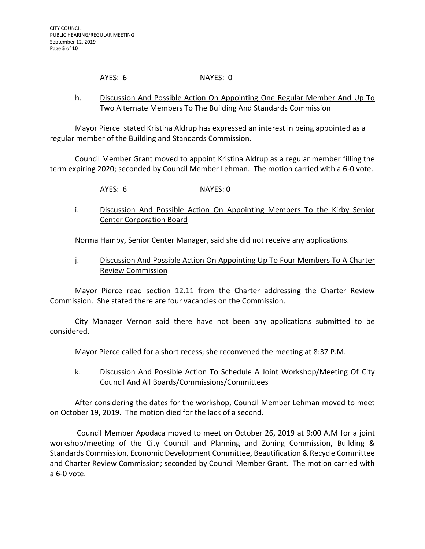### AYES: 6 NAYES: 0

# h. Discussion And Possible Action On Appointing One Regular Member And Up To Two Alternate Members To The Building And Standards Commission

Mayor Pierce stated Kristina Aldrup has expressed an interest in being appointed as a regular member of the Building and Standards Commission.

Council Member Grant moved to appoint Kristina Aldrup as a regular member filling the term expiring 2020; seconded by Council Member Lehman. The motion carried with a 6-0 vote.

AYES: 6 NAYES: 0

i. Discussion And Possible Action On Appointing Members To the Kirby Senior Center Corporation Board

Norma Hamby, Senior Center Manager, said she did not receive any applications.

j. Discussion And Possible Action On Appointing Up To Four Members To A Charter Review Commission

Mayor Pierce read section 12.11 from the Charter addressing the Charter Review Commission. She stated there are four vacancies on the Commission.

City Manager Vernon said there have not been any applications submitted to be considered.

Mayor Pierce called for a short recess; she reconvened the meeting at 8:37 P.M.

k. Discussion And Possible Action To Schedule A Joint Workshop/Meeting Of City Council And All Boards/Commissions/Committees

After considering the dates for the workshop, Council Member Lehman moved to meet on October 19, 2019. The motion died for the lack of a second.

Council Member Apodaca moved to meet on October 26, 2019 at 9:00 A.M for a joint workshop/meeting of the City Council and Planning and Zoning Commission, Building & Standards Commission, Economic Development Committee, Beautification & Recycle Committee and Charter Review Commission; seconded by Council Member Grant. The motion carried with a 6-0 vote.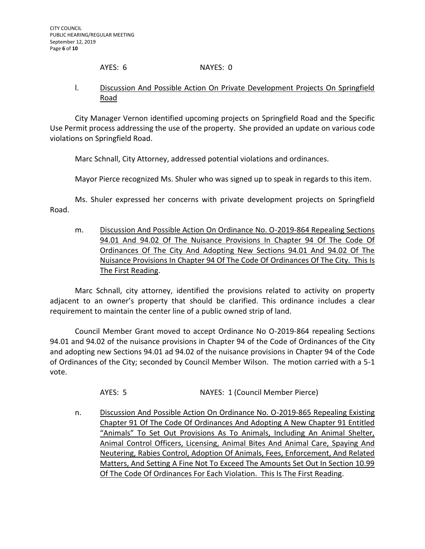### AYES: 6 NAYES: 0

### l. Discussion And Possible Action On Private Development Projects On Springfield Road

City Manager Vernon identified upcoming projects on Springfield Road and the Specific Use Permit process addressing the use of the property. She provided an update on various code violations on Springfield Road.

Marc Schnall, City Attorney, addressed potential violations and ordinances.

Mayor Pierce recognized Ms. Shuler who was signed up to speak in regards to this item.

Ms. Shuler expressed her concerns with private development projects on Springfield Road.

m. Discussion And Possible Action On Ordinance No. O-2019-864 Repealing Sections 94.01 And 94.02 Of The Nuisance Provisions In Chapter 94 Of The Code Of Ordinances Of The City And Adopting New Sections 94.01 And 94.02 Of The Nuisance Provisions In Chapter 94 Of The Code Of Ordinances Of The City. This Is The First Reading.

Marc Schnall, city attorney, identified the provisions related to activity on property adjacent to an owner's property that should be clarified. This ordinance includes a clear requirement to maintain the center line of a public owned strip of land.

Council Member Grant moved to accept Ordinance No O-2019-864 repealing Sections 94.01 and 94.02 of the nuisance provisions in Chapter 94 of the Code of Ordinances of the City and adopting new Sections 94.01 ad 94.02 of the nuisance provisions in Chapter 94 of the Code of Ordinances of the City; seconded by Council Member Wilson. The motion carried with a 5-1 vote.

AYES: 5 NAYES: 1 (Council Member Pierce)

n. Discussion And Possible Action On Ordinance No. O-2019-865 Repealing Existing Chapter 91 Of The Code Of Ordinances And Adopting A New Chapter 91 Entitled "Animals" To Set Out Provisions As To Animals, Including An Animal Shelter, Animal Control Officers, Licensing, Animal Bites And Animal Care, Spaying And Neutering, Rabies Control, Adoption Of Animals, Fees, Enforcement, And Related Matters, And Setting A Fine Not To Exceed The Amounts Set Out In Section 10.99 Of The Code Of Ordinances For Each Violation. This Is The First Reading.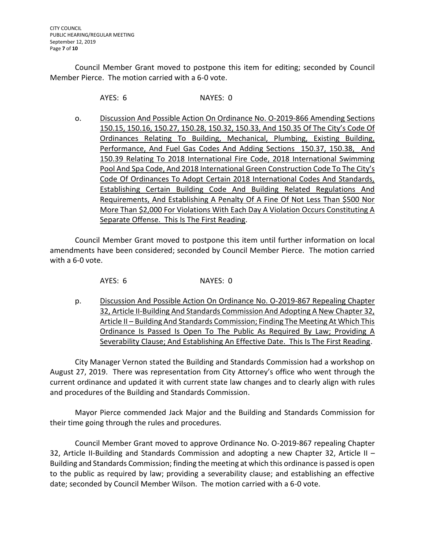Council Member Grant moved to postpone this item for editing; seconded by Council Member Pierce. The motion carried with a 6-0 vote.

AYES: 6 NAYES: 0

o. Discussion And Possible Action On Ordinance No. 0-2019-866 Amending Sections 150.15, 150.16, 150.27, 150.28, 150.32, 150.33, And 150.35 Of The City's Code Of Ordinances Relating To Building, Mechanical, Plumbing, Existing Building, Performance, And Fuel Gas Codes And Adding Sections 150.37, 150.38, And 150.39 Relating To 2018 International Fire Code, 2018 International Swimming Pool And Spa Code, And 2018 International Green Construction Code To The City's Code Of Ordinances To Adopt Certain 2018 International Codes And Standards, Establishing Certain Building Code And Building Related Regulations And Requirements, And Establishing A Penalty Of A Fine Of Not Less Than \$500 Nor More Than \$2,000 For Violations With Each Day A Violation Occurs Constituting A Separate Offense. This Is The First Reading.

Council Member Grant moved to postpone this item until further information on local amendments have been considered; seconded by Council Member Pierce. The motion carried with a 6-0 vote.

AYES: 6 NAYES: 0

p. Discussion And Possible Action On Ordinance No. O-2019-867 Repealing Chapter 32, Article II-Building And Standards Commission And Adopting A New Chapter 32, Article II – Building And Standards Commission; Finding The Meeting At Which This Ordinance Is Passed Is Open To The Public As Required By Law; Providing A Severability Clause; And Establishing An Effective Date. This Is The First Reading.

City Manager Vernon stated the Building and Standards Commission had a workshop on August 27, 2019. There was representation from City Attorney's office who went through the current ordinance and updated it with current state law changes and to clearly align with rules and procedures of the Building and Standards Commission.

Mayor Pierce commended Jack Major and the Building and Standards Commission for their time going through the rules and procedures.

Council Member Grant moved to approve Ordinance No. O-2019-867 repealing Chapter 32, Article II-Building and Standards Commission and adopting a new Chapter 32, Article II – Building and Standards Commission; finding the meeting at which this ordinance is passed is open to the public as required by law; providing a severability clause; and establishing an effective date; seconded by Council Member Wilson. The motion carried with a 6-0 vote.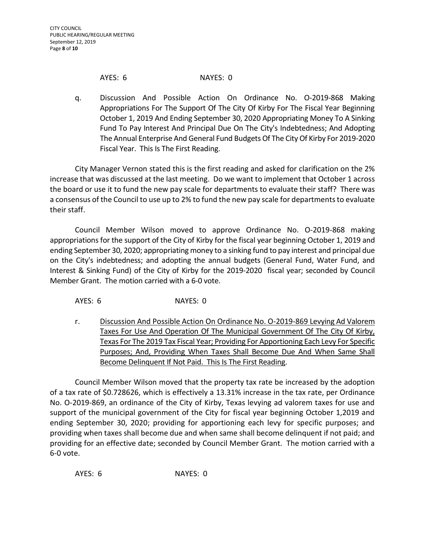#### AYES: 6 NAYES: 0

q. Discussion And Possible Action On Ordinance No. O-2019-868 Making Appropriations For The Support Of The City Of Kirby For The Fiscal Year Beginning October 1, 2019 And Ending September 30, 2020 Appropriating Money To A Sinking Fund To Pay Interest And Principal Due On The City's Indebtedness; And Adopting The Annual Enterprise And General Fund Budgets Of The City Of Kirby For 2019-2020 Fiscal Year. This Is The First Reading.

City Manager Vernon stated this is the first reading and asked for clarification on the 2% increase that was discussed at the last meeting. Do we want to implement that October 1 across the board or use it to fund the new pay scale for departments to evaluate their staff? There was a consensus of the Council to use up to 2% to fund the new pay scale for departments to evaluate their staff.

Council Member Wilson moved to approve Ordinance No. O-2019-868 making appropriations for the support of the City of Kirby for the fiscal year beginning October 1, 2019 and ending September 30, 2020; appropriating money to a sinking fund to pay interest and principal due on the City's indebtedness; and adopting the annual budgets (General Fund, Water Fund, and Interest & Sinking Fund) of the City of Kirby for the 2019-2020 fiscal year; seconded by Council Member Grant. The motion carried with a 6-0 vote.

AYES: 6 NAYES: 0

r. Discussion And Possible Action On Ordinance No. O-2019-869 Levying Ad Valorem Taxes For Use And Operation Of The Municipal Government Of The City Of Kirby, Texas For The 2019 Tax Fiscal Year; Providing For Apportioning Each Levy For Specific Purposes; And, Providing When Taxes Shall Become Due And When Same Shall Become Delinquent If Not Paid. This Is The First Reading.

Council Member Wilson moved that the property tax rate be increased by the adoption of a tax rate of \$0.728626, which is effectively a 13.31% increase in the tax rate, per Ordinance No. O-2019-869, an ordinance of the City of Kirby, Texas levying ad valorem taxes for use and support of the municipal government of the City for fiscal year beginning October 1,2019 and ending September 30, 2020; providing for apportioning each levy for specific purposes; and providing when taxes shall become due and when same shall become delinquent if not paid; and providing for an effective date; seconded by Council Member Grant. The motion carried with a 6-0 vote.

AYES: 6 NAYES: 0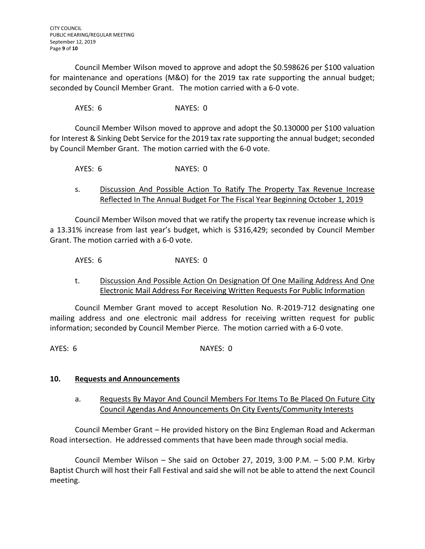Council Member Wilson moved to approve and adopt the \$0.598626 per \$100 valuation for maintenance and operations (M&O) for the 2019 tax rate supporting the annual budget; seconded by Council Member Grant. The motion carried with a 6-0 vote.

AYES: 6 NAYES: 0

Council Member Wilson moved to approve and adopt the \$0.130000 per \$100 valuation for Interest & Sinking Debt Service for the 2019 tax rate supporting the annual budget; seconded by Council Member Grant. The motion carried with the 6-0 vote.

AYES: 6 NAYES: 0

s. Discussion And Possible Action To Ratify The Property Tax Revenue Increase Reflected In The Annual Budget For The Fiscal Year Beginning October 1, 2019

Council Member Wilson moved that we ratify the property tax revenue increase which is a 13.31% increase from last year's budget, which is \$316,429; seconded by Council Member Grant. The motion carried with a 6-0 vote.

AYES: 6 NAYES: 0

t. Discussion And Possible Action On Designation Of One Mailing Address And One Electronic Mail Address For Receiving Written Requests For Public Information

Council Member Grant moved to accept Resolution No. R-2019-712 designating one mailing address and one electronic mail address for receiving written request for public information; seconded by Council Member Pierce. The motion carried with a 6-0 vote.

AYES: 6 NAYES: 0

### **10. Requests and Announcements**

a. Requests By Mayor And Council Members For Items To Be Placed On Future City Council Agendas And Announcements On City Events/Community Interests

Council Member Grant – He provided history on the Binz Engleman Road and Ackerman Road intersection. He addressed comments that have been made through social media.

Council Member Wilson – She said on October 27, 2019, 3:00 P.M. – 5:00 P.M. Kirby Baptist Church will host their Fall Festival and said she will not be able to attend the next Council meeting.